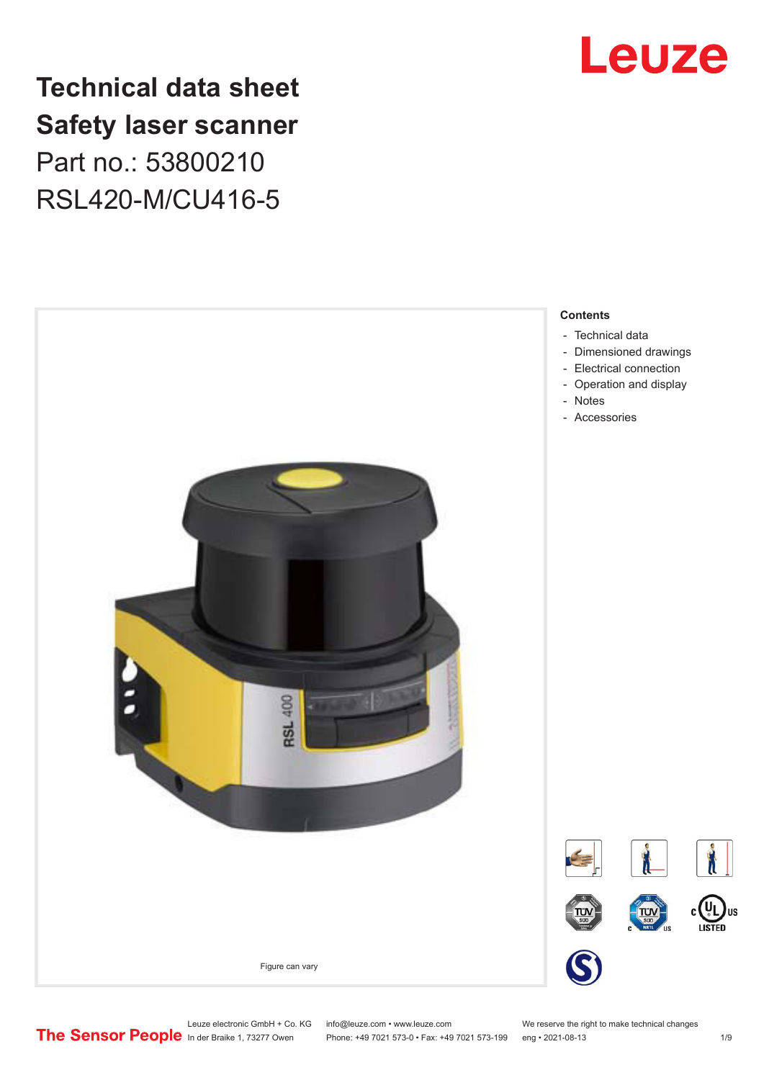

# **Technical data sheet Safety laser scanner** Part no.: 53800210 RSL420-M/CU416-5



Leuze electronic GmbH + Co. KG info@leuze.com • www.leuze.com We reserve the right to make technical changes<br>
The Sensor People in der Braike 1, 73277 Owen Phone: +49 7021 573-0 • Fax: +49 7021 573-199 eng • 2021-08-13

Phone: +49 7021 573-0 • Fax: +49 7021 573-199 eng • 2021-08-13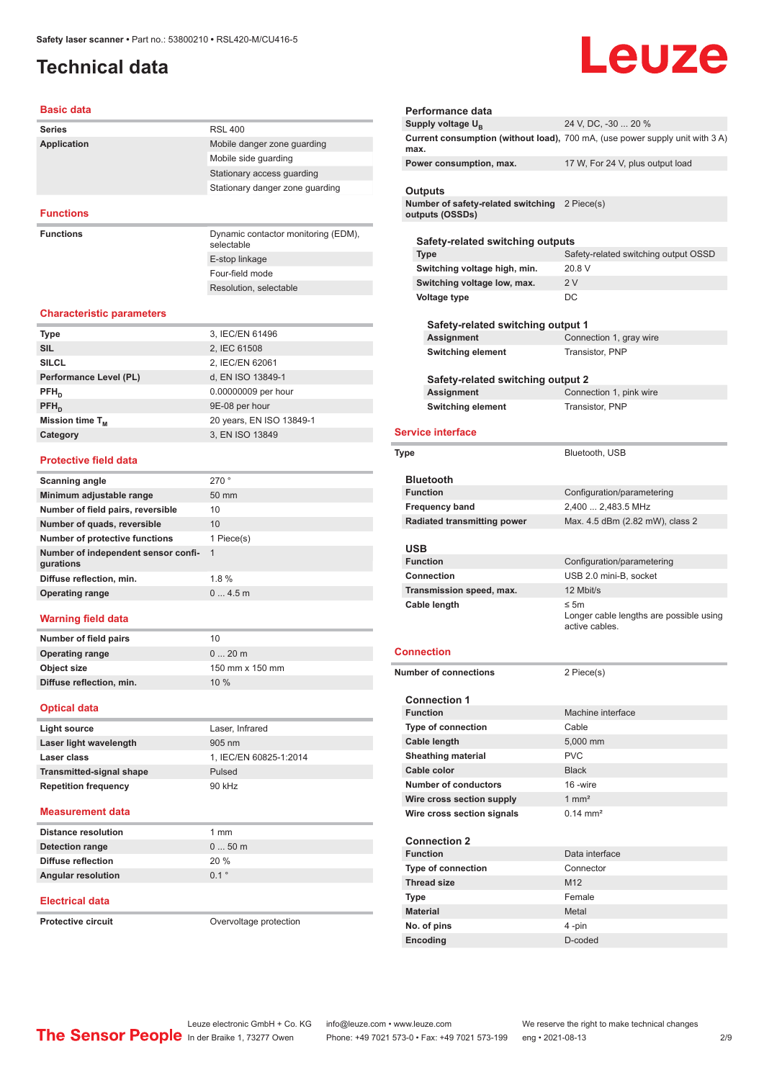# <span id="page-1-0"></span>**Technical data**

# Leuze

#### **Basic data**

| <b>Series</b>      | <b>RSL 400</b>                                    |
|--------------------|---------------------------------------------------|
| <b>Application</b> | Mobile danger zone guarding                       |
|                    | Mobile side guarding                              |
|                    | Stationary access guarding                        |
|                    | Stationary danger zone quarding                   |
|                    |                                                   |
| <b>Functions</b>   |                                                   |
| <b>Functions</b>   | Dynamic contactor monitoring (EDM),<br>selectable |

E-stop linkage Four-field mode Resolution, selectable

#### **Characteristic parameters**

| <b>Type</b>            | 3, IEC/EN 61496          |
|------------------------|--------------------------|
| <b>SIL</b>             | 2, IEC 61508             |
| <b>SILCL</b>           | 2, IEC/EN 62061          |
| Performance Level (PL) | d, EN ISO 13849-1        |
| $PFH_{n}$              | 0.00000009 per hour      |
| $PFH_n$                | 9E-08 per hour           |
| Mission time $T_M$     | 20 years, EN ISO 13849-1 |
| Category               | 3, EN ISO 13849          |
|                        |                          |

#### **Protective field data**

| Scanning angle                                   | 270°            |
|--------------------------------------------------|-----------------|
| Minimum adjustable range                         | $50 \text{ mm}$ |
| Number of field pairs, reversible                | 10              |
| Number of quads, reversible                      | 10              |
| Number of protective functions                   | 1 Piece(s)      |
| Number of independent sensor confi-<br>gurations | - 1             |
| Diffuse reflection, min.                         | 1.8%            |
| <b>Operating range</b>                           | 04.5m           |
|                                                  |                 |

#### **Warning field data**

| Number of field pairs    | 10              |
|--------------------------|-----------------|
| <b>Operating range</b>   | $020$ m         |
| Object size              | 150 mm x 150 mm |
| Diffuse reflection, min. | 10%             |
|                          |                 |

#### **Optical data**

| Light source                    | Laser, Infrared        |
|---------------------------------|------------------------|
| Laser light wavelength          | $905 \text{ nm}$       |
| Laser class                     | 1, IEC/EN 60825-1:2014 |
| <b>Transmitted-signal shape</b> | Pulsed                 |
| <b>Repetition frequency</b>     | 90 kHz                 |

#### **Measurement data**

| <b>Distance resolution</b> | $1 \text{ mm}$ |
|----------------------------|----------------|
| Detection range            | $050$ m        |
| Diffuse reflection         | 20 %           |
| <b>Angular resolution</b>  | 01°            |

#### **Electrical data**

**Protective circuit COVER COVER COVER COVER COVERENT** Overvoltage protection

| Performance data                                                            |                                                                              |
|-----------------------------------------------------------------------------|------------------------------------------------------------------------------|
| Supply voltage U <sub>B</sub>                                               | 24 V, DC, -30  20 %                                                          |
| max.                                                                        | Current consumption (without load), 700 mA, (use power supply unit with 3 A) |
| Power consumption, max.                                                     | 17 W, For 24 V, plus output load                                             |
|                                                                             |                                                                              |
| Outputs<br>Number of safety-related switching 2 Piece(s)<br>outputs (OSSDs) |                                                                              |
|                                                                             |                                                                              |
| Safety-related switching outputs                                            |                                                                              |
| <b>Type</b><br>Switching voltage high, min.                                 | Safety-related switching output OSSD<br>20 8 V                               |
| Switching voltage low, max.                                                 | 2V                                                                           |
| Voltage type                                                                | DC                                                                           |
|                                                                             |                                                                              |
| Safety-related switching output 1                                           |                                                                              |
| Assignment                                                                  | Connection 1, gray wire                                                      |
| <b>Switching element</b>                                                    | Transistor, PNP                                                              |
|                                                                             |                                                                              |
| Safety-related switching output 2                                           |                                                                              |
| Assignment                                                                  | Connection 1, pink wire                                                      |
| <b>Switching element</b>                                                    | Transistor, PNP                                                              |
| <b>Service interface</b>                                                    |                                                                              |
|                                                                             |                                                                              |
| Type                                                                        | Bluetooth, USB                                                               |
|                                                                             |                                                                              |
| <b>Bluetooth</b><br><b>Function</b>                                         |                                                                              |
| <b>Frequency band</b>                                                       | Configuration/parametering<br>2,400  2,483.5 MHz                             |
|                                                                             |                                                                              |
|                                                                             |                                                                              |
| <b>Radiated transmitting power</b>                                          | Max. 4.5 dBm (2.82 mW), class 2                                              |
| USB                                                                         |                                                                              |
| <b>Function</b>                                                             | Configuration/parametering                                                   |
| <b>Connection</b>                                                           | USB 2.0 mini-B, socket                                                       |
| Transmission speed, max.                                                    | 12 Mbit/s                                                                    |
| Cable length                                                                | ≤ 5 $m$<br>Longer cable lengths are possible using<br>active cables.         |
| Connection                                                                  |                                                                              |
| <b>Number of connections</b>                                                | 2 Piece(s)                                                                   |
|                                                                             |                                                                              |
| <b>Connection 1</b>                                                         |                                                                              |
| <b>Function</b>                                                             | Machine interface                                                            |
| <b>Type of connection</b>                                                   | Cable                                                                        |
| Cable length                                                                | 5,000 mm                                                                     |
| <b>Sheathing material</b>                                                   | <b>PVC</b>                                                                   |
| Cable color                                                                 | <b>Black</b>                                                                 |
| Number of conductors                                                        | 16-wire                                                                      |
| Wire cross section supply                                                   | $1 \text{ mm}^2$                                                             |
| Wire cross section signals                                                  | $0.14 \, \text{mm}^2$                                                        |
|                                                                             |                                                                              |
| <b>Connection 2</b>                                                         |                                                                              |
| <b>Function</b>                                                             | Data interface                                                               |
| <b>Type of connection</b>                                                   | Connector                                                                    |
| <b>Thread size</b><br>Type                                                  | M <sub>12</sub><br>Female                                                    |

**No. of pins** 4 -pin **Encoding** D-coded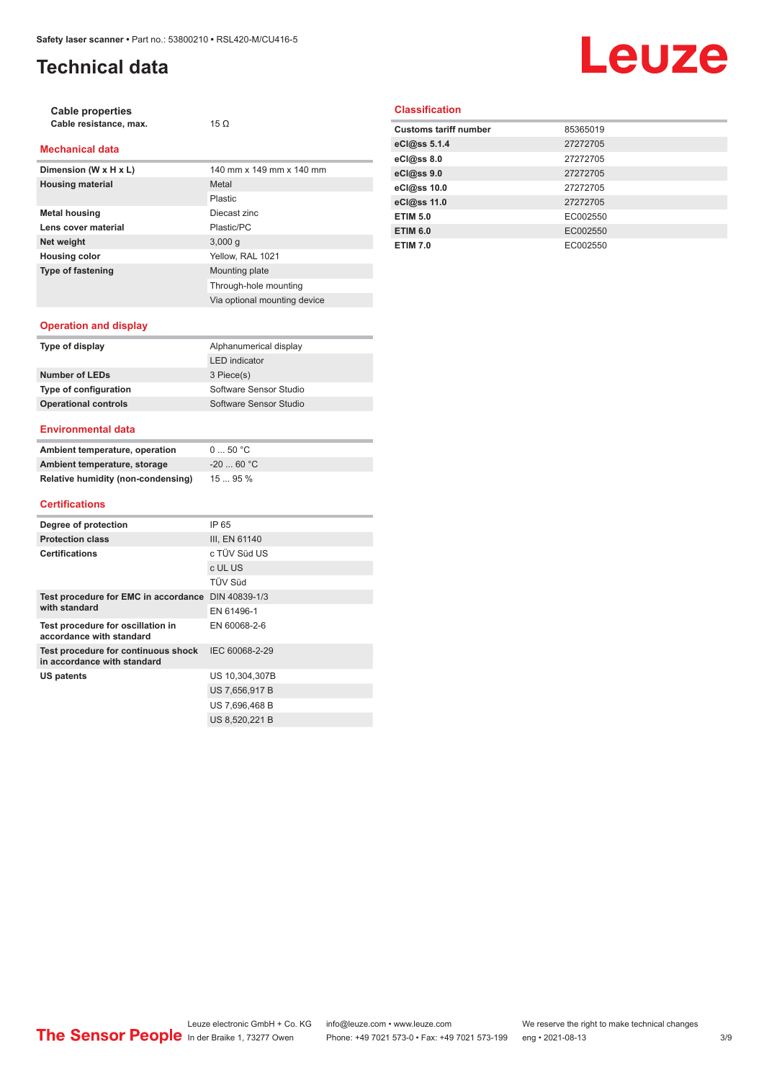# **Technical data**

# Leuze

| <b>Cable properties</b><br>Cable resistance, max. | $15 \Omega$              |
|---------------------------------------------------|--------------------------|
| <b>Mechanical data</b>                            |                          |
| Dimension (W x H x L)                             | 140 mm x 149 mm x 140 mm |
| <b>Housing material</b>                           | Metal                    |
|                                                   | Plastic                  |
| <b>Metal housing</b>                              | Diecast zinc             |
| Lens cover material                               | Plastic/PC               |
| Net weight                                        | 3,000q                   |
| <b>Housing color</b>                              | Yellow. RAL 1021         |
| <b>Type of fastening</b>                          | Mounting plate           |

#### **Classification**

| <b>Customs tariff number</b> | 85365019 |
|------------------------------|----------|
| eCl@ss 5.1.4                 | 27272705 |
| eCl@ss 8.0                   | 27272705 |
| eCl@ss 9.0                   | 27272705 |
| eCl@ss 10.0                  | 27272705 |
| eCl@ss 11.0                  | 27272705 |
| <b>ETIM 5.0</b>              | EC002550 |
| <b>ETIM 6.0</b>              | EC002550 |
| <b>ETIM 7.0</b>              | EC002550 |

#### **Operation and display**

| Type of display             | Alphanumerical display |
|-----------------------------|------------------------|
|                             | <b>LED</b> indicator   |
| Number of LEDs              | 3 Piece(s)             |
| Type of configuration       | Software Sensor Studio |
| <b>Operational controls</b> | Software Sensor Studio |
|                             |                        |

Through-hole mounting Via optional mounting device

#### **Environmental data**

| Ambient temperature, operation     | 0  50 °C   |
|------------------------------------|------------|
| Ambient temperature, storage       | $-2060 °C$ |
| Relative humidity (non-condensing) | 1595%      |

#### **Certifications**

| Degree of protection                                               | IP 65          |
|--------------------------------------------------------------------|----------------|
| <b>Protection class</b>                                            | III, EN 61140  |
| <b>Certifications</b>                                              | c TÜV Süd US   |
|                                                                    | c UL US        |
|                                                                    | <b>TÜV Süd</b> |
| Test procedure for EMC in accordance DIN 40839-1/3                 |                |
| with standard                                                      | FN 61496-1     |
| Test procedure for oscillation in<br>accordance with standard      | EN 60068-2-6   |
| Test procedure for continuous shock<br>in accordance with standard | IEC 60068-2-29 |
| US patents                                                         | US 10,304,307B |
|                                                                    | US 7,656,917 B |
|                                                                    | US 7,696,468 B |
|                                                                    | US 8.520.221 B |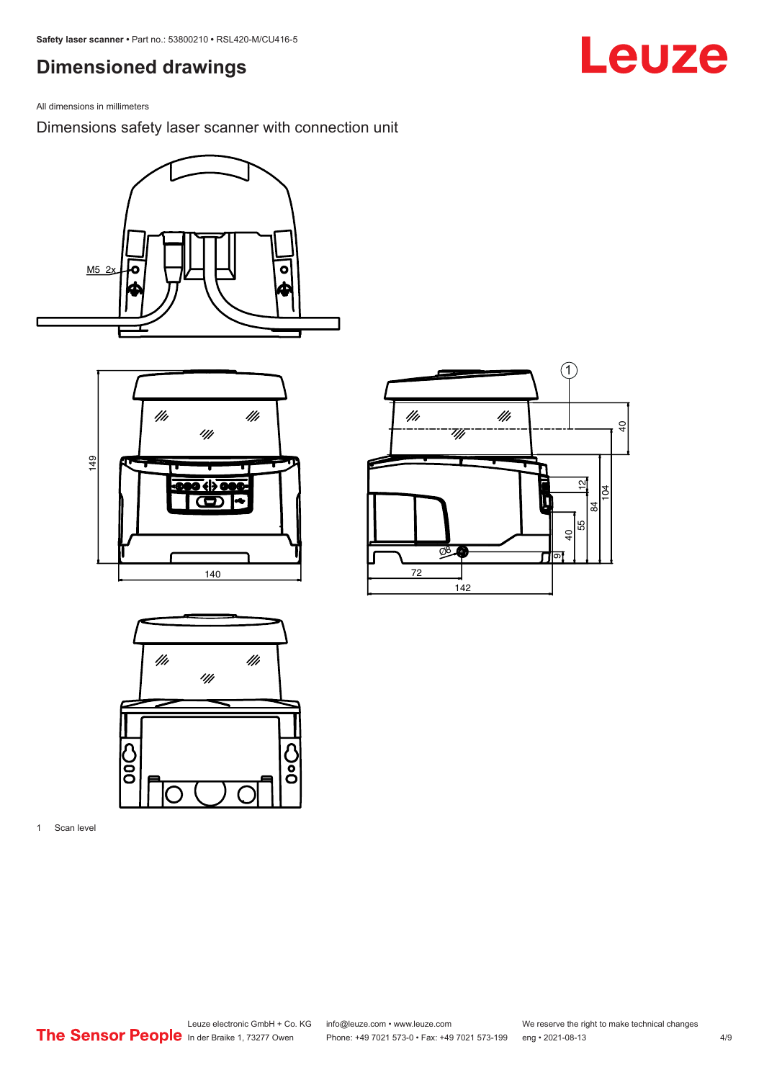# <span id="page-3-0"></span>**Dimensioned drawings**

All dimensions in millimeters

Dimensions safety laser scanner with connection unit









1 Scan level

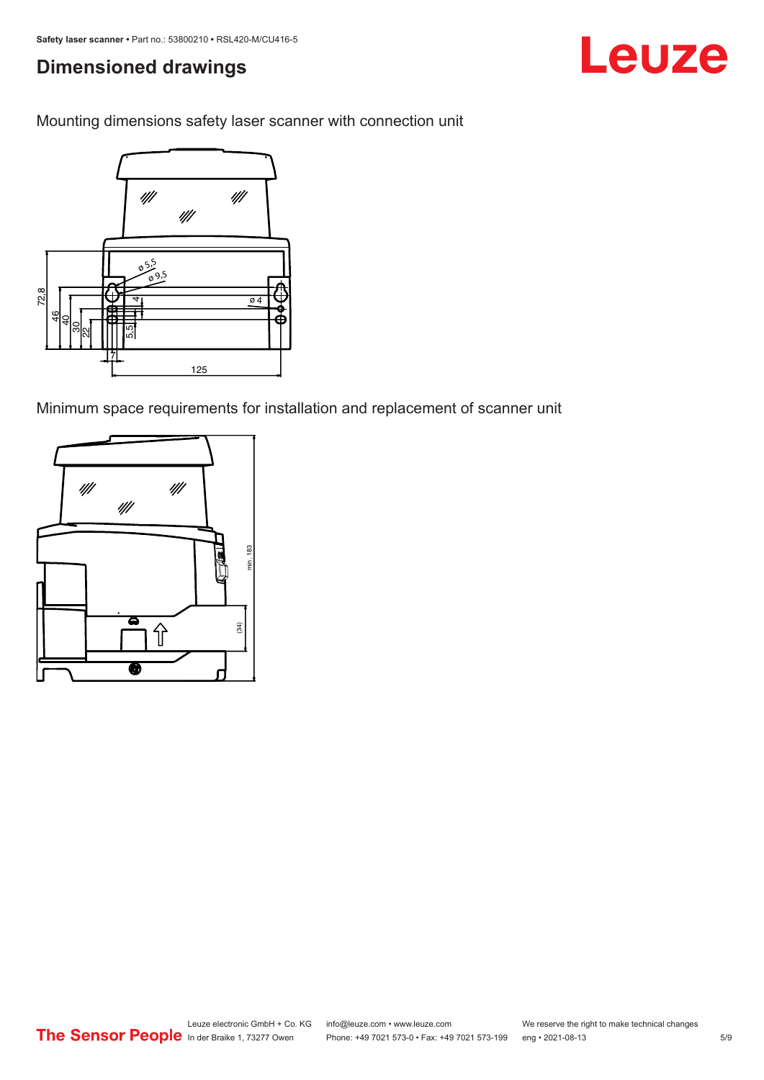# **Dimensioned drawings**

Mounting dimensions safety laser scanner with connection unit



Minimum space requirements for installation and replacement of scanner unit



Leuze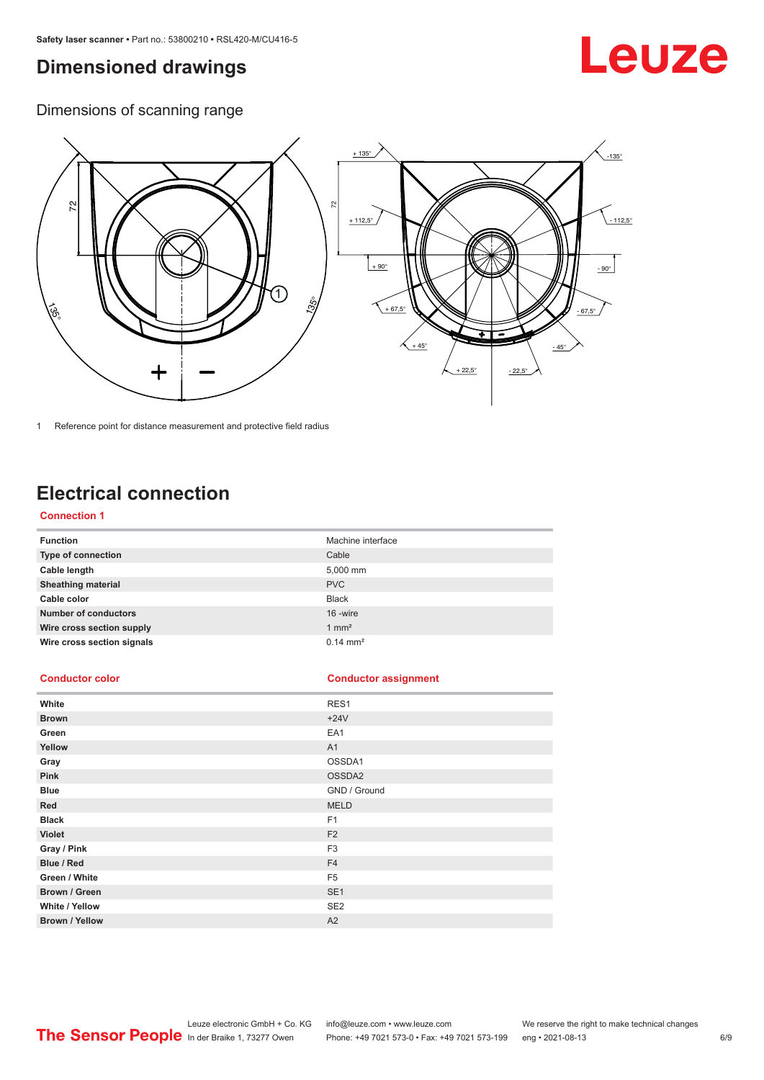## <span id="page-5-0"></span>**Dimensioned drawings**

# Leuze

Dimensions of scanning range



1 Reference point for distance measurement and protective field radius

# **Electrical connection**

#### **Connection 1**

| <b>Function</b>             | Machine interface   |
|-----------------------------|---------------------|
| Type of connection          | Cable               |
| Cable length                | 5,000 mm            |
| <b>Sheathing material</b>   | <b>PVC</b>          |
| Cable color                 | <b>Black</b>        |
| <b>Number of conductors</b> | 16 -wire            |
| Wire cross section supply   | $1 \text{ mm}^2$    |
| Wire cross section signals  | $0.14 \text{ mm}^2$ |

#### **Conductor color Conductor assignment**

| White                 | RES1            |
|-----------------------|-----------------|
| <b>Brown</b>          | $+24V$          |
| Green                 | EA1             |
| Yellow                | A1              |
| Gray                  | OSSDA1          |
| Pink                  | OSSDA2          |
| <b>Blue</b>           | GND / Ground    |
| Red                   | <b>MELD</b>     |
| <b>Black</b>          | F <sub>1</sub>  |
| Violet                | F <sub>2</sub>  |
| Gray / Pink           | F <sub>3</sub>  |
| Blue / Red            | F <sub>4</sub>  |
| Green / White         | F <sub>5</sub>  |
| Brown / Green         | SE <sub>1</sub> |
| White / Yellow        | SE <sub>2</sub> |
| <b>Brown / Yellow</b> | A2              |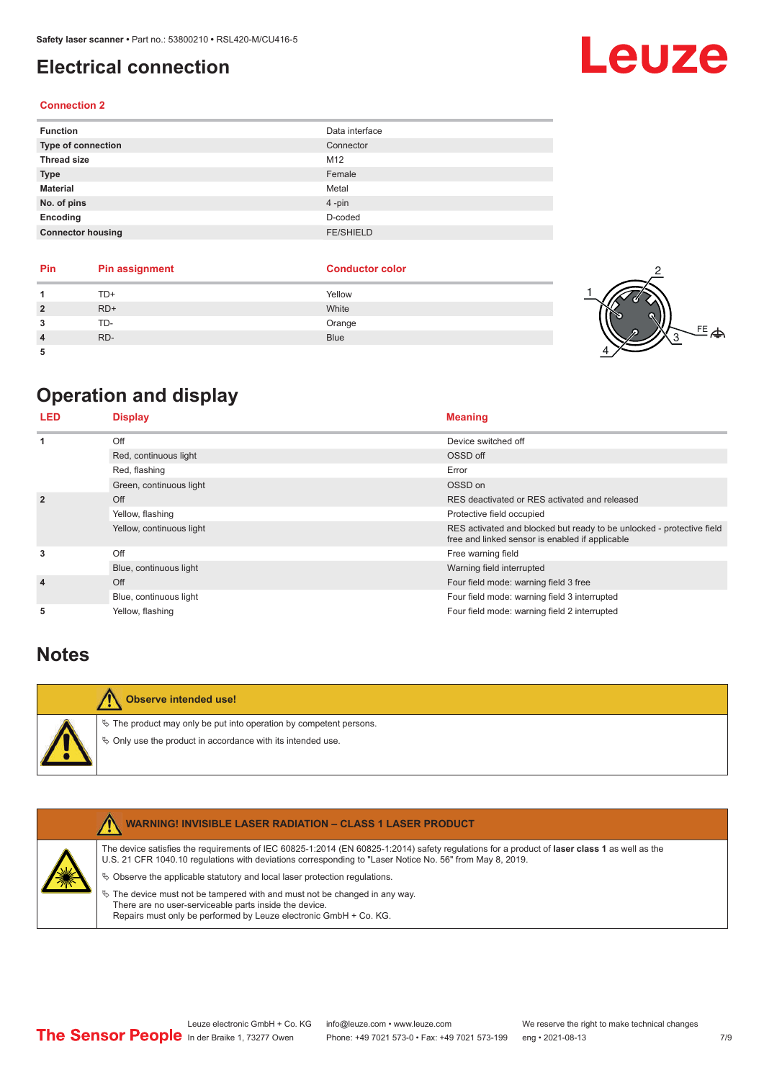# <span id="page-6-0"></span>**Electrical connection**

#### **Connection 2**

| <b>Function</b>          | Data interface   |
|--------------------------|------------------|
| Type of connection       | Connector        |
| <b>Thread size</b>       | M12              |
| <b>Type</b>              | Female           |
| <b>Material</b>          | Metal            |
| No. of pins              | $4 - pin$        |
| Encoding                 | D-coded          |
| <b>Connector housing</b> | <b>FE/SHIELD</b> |

| Pin | <b>Pin assignment</b> | <b>Conductor color</b> |  |
|-----|-----------------------|------------------------|--|
|     | TD+                   | Yellow                 |  |
|     | $RD+$                 | White                  |  |
|     | TD-                   | Orange                 |  |
|     | RD-                   | <b>Blue</b>            |  |
|     |                       |                        |  |

# **Operation and display**

| <b>LED</b>     | <b>Display</b>           | <b>Meaning</b>                                                                                                           |
|----------------|--------------------------|--------------------------------------------------------------------------------------------------------------------------|
| 1              | Off                      | Device switched off                                                                                                      |
|                | Red, continuous light    | OSSD off                                                                                                                 |
|                | Red, flashing            | Error                                                                                                                    |
|                | Green, continuous light  | OSSD on                                                                                                                  |
| $\overline{2}$ | Off                      | RES deactivated or RES activated and released                                                                            |
|                | Yellow, flashing         | Protective field occupied                                                                                                |
|                | Yellow, continuous light | RES activated and blocked but ready to be unlocked - protective field<br>free and linked sensor is enabled if applicable |
| 3              | Off                      | Free warning field                                                                                                       |
|                | Blue, continuous light   | Warning field interrupted                                                                                                |
| $\overline{4}$ | Off                      | Four field mode: warning field 3 free                                                                                    |
|                | Blue, continuous light   | Four field mode: warning field 3 interrupted                                                                             |
| 5              | Yellow, flashing         | Four field mode: warning field 2 interrupted                                                                             |

## **Notes**

| Observe intended use!                                                                                                                |
|--------------------------------------------------------------------------------------------------------------------------------------|
| $\&$ The product may only be put into operation by competent persons.<br>♦ Only use the product in accordance with its intended use. |

|   | <b>WARNING! INVISIBLE LASER RADIATION - CLASS 1 LASER PRODUCT</b>                                                                                                                                                                                                                                                                                                                                                                                                                                                                                                |
|---|------------------------------------------------------------------------------------------------------------------------------------------------------------------------------------------------------------------------------------------------------------------------------------------------------------------------------------------------------------------------------------------------------------------------------------------------------------------------------------------------------------------------------------------------------------------|
| 美 | The device satisfies the requirements of IEC 60825-1:2014 (EN 60825-1:2014) safety requiations for a product of <b>laser class 1</b> as well as the<br>U.S. 21 CFR 1040.10 regulations with deviations corresponding to "Laser Notice No. 56" from May 8, 2019.<br>$\%$ Observe the applicable statutory and local laser protection regulations.<br>$\%$ The device must not be tampered with and must not be changed in any way.<br>There are no user-serviceable parts inside the device.<br>Repairs must only be performed by Leuze electronic GmbH + Co. KG. |
|   |                                                                                                                                                                                                                                                                                                                                                                                                                                                                                                                                                                  |

#### Leuze electronic GmbH + Co. KG info@leuze.com • www.leuze.com We reserve the right to make technical changes<br>
The Sensor People in der Braike 1, 73277 Owen Phone: +49 7021 573-0 • Fax: +49 7021 573-199 eng • 2021-08-13 Phone: +49 7021 573-0 • Fax: +49 7021 573-199 eng • 2021-08-13



# $4$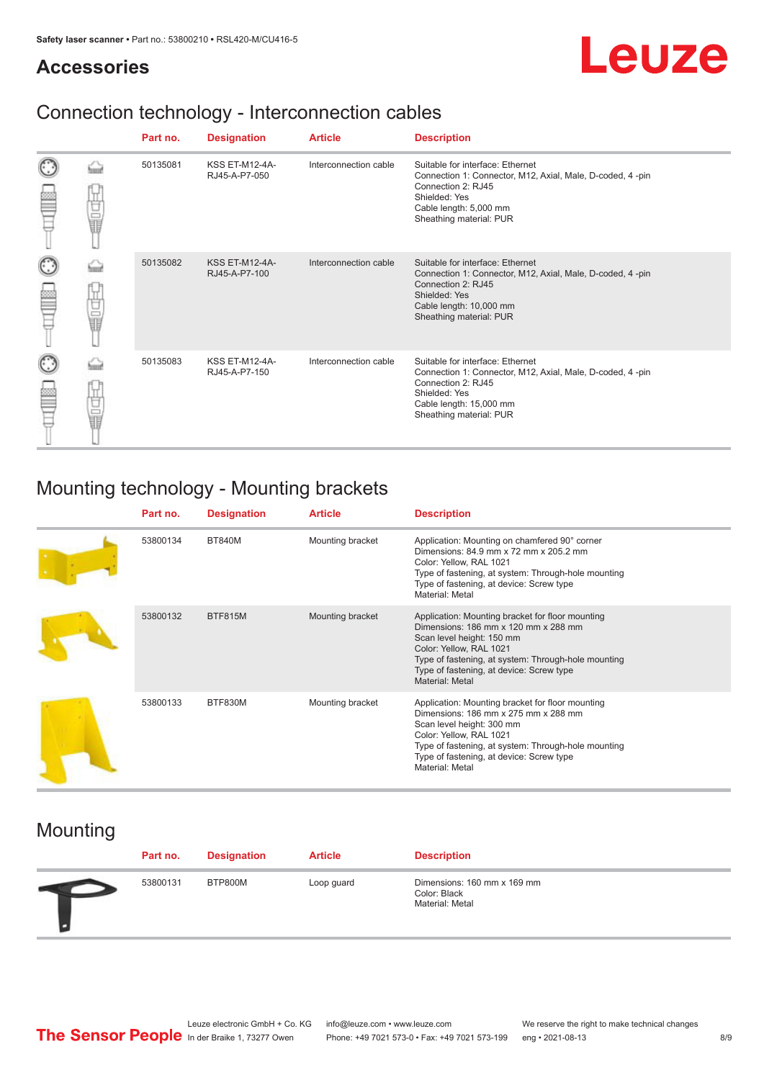## **Accessories**

# Leuze

# Connection technology - Interconnection cables

|   |             | Part no. | <b>Designation</b>                     | <b>Article</b>        | <b>Description</b>                                                                                                                                                                         |
|---|-------------|----------|----------------------------------------|-----------------------|--------------------------------------------------------------------------------------------------------------------------------------------------------------------------------------------|
|   | Ö           | 50135081 | <b>KSS ET-M12-4A-</b><br>RJ45-A-P7-050 | Interconnection cable | Suitable for interface: Ethernet<br>Connection 1: Connector, M12, Axial, Male, D-coded, 4-pin<br>Connection 2: RJ45<br>Shielded: Yes<br>Cable length: 5,000 mm<br>Sheathing material: PUR  |
| C | 甘量          | 50135082 | <b>KSS ET-M12-4A-</b><br>RJ45-A-P7-100 | Interconnection cable | Suitable for interface: Ethernet<br>Connection 1: Connector, M12, Axial, Male, D-coded, 4-pin<br>Connection 2: RJ45<br>Shielded: Yes<br>Cable length: 10,000 mm<br>Sheathing material: PUR |
| C | -<br>-<br>- | 50135083 | <b>KSS ET-M12-4A-</b><br>RJ45-A-P7-150 | Interconnection cable | Suitable for interface: Ethernet<br>Connection 1: Connector, M12, Axial, Male, D-coded, 4-pin<br>Connection 2: RJ45<br>Shielded: Yes<br>Cable length: 15,000 mm<br>Sheathing material: PUR |

# Mounting technology - Mounting brackets

| Part no. | <b>Designation</b> | <b>Article</b>   | <b>Description</b>                                                                                                                                                                                                                                                     |
|----------|--------------------|------------------|------------------------------------------------------------------------------------------------------------------------------------------------------------------------------------------------------------------------------------------------------------------------|
| 53800134 | <b>BT840M</b>      | Mounting bracket | Application: Mounting on chamfered 90° corner<br>Dimensions: 84.9 mm x 72 mm x 205.2 mm<br>Color: Yellow, RAL 1021<br>Type of fastening, at system: Through-hole mounting<br>Type of fastening, at device: Screw type<br>Material: Metal                               |
| 53800132 | <b>BTF815M</b>     | Mounting bracket | Application: Mounting bracket for floor mounting<br>Dimensions: 186 mm x 120 mm x 288 mm<br>Scan level height: 150 mm<br>Color: Yellow, RAL 1021<br>Type of fastening, at system: Through-hole mounting<br>Type of fastening, at device: Screw type<br>Material: Metal |
| 53800133 | BTF830M            | Mounting bracket | Application: Mounting bracket for floor mounting<br>Dimensions: 186 mm x 275 mm x 288 mm<br>Scan level height: 300 mm<br>Color: Yellow, RAL 1021<br>Type of fastening, at system: Through-hole mounting<br>Type of fastening, at device: Screw type<br>Material: Metal |

# Mounting

| Part no. | <b>Designation</b> | <b>Article</b> | <b>Description</b>                                             |
|----------|--------------------|----------------|----------------------------------------------------------------|
| 53800131 | BTP800M            | Loop guard     | Dimensions: 160 mm x 169 mm<br>Color: Black<br>Material: Metal |